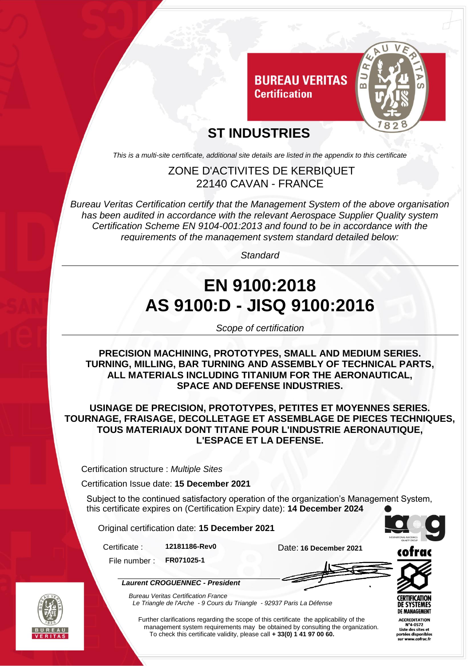

### **ST INDUSTRIES**

*This is a multi-site certificate, additional site details are listed in the appendix to this certificate*

#### ZONE D'ACTIVITES DE KERBIQUET 22140 CAVAN - FRANCE

*Bureau Veritas Certification certify that the Management System of the above organisation has been audited in accordance with the relevant Aerospace Supplier Quality system Certification Scheme EN 9104-001:2013 and found to be in accordance with the requirements of the management system standard detailed below:*

*Standard*

# **EN 9100:2018 AS 9100:D - JISQ 9100:2016**

*Scope of certification*

**PRECISION MACHINING, PROTOTYPES, SMALL AND MEDIUM SERIES. TURNING, MILLING, BAR TURNING AND ASSEMBLY OF TECHNICAL PARTS, ALL MATERIALS INCLUDING TITANIUM FOR THE AERONAUTICAL, SPACE AND DEFENSE INDUSTRIES.**

**USINAGE DE PRECISION, PROTOTYPES, PETITES ET MOYENNES SERIES. TOURNAGE, FRAISAGE, DECOLLETAGE ET ASSEMBLAGE DE PIECES TECHNIQUES, TOUS MATERIAUX DONT TITANE POUR L'INDUSTRIE AERONAUTIQUE, L'ESPACE ET LA DEFENSE.**

Certification structure : *Multiple Sites*

Certification Issue date: **15 December 2021**

Subject to the continued satisfactory operation of the organization's Management System, this certificate expires on (Certification Expiry date): **14 December 2024**

Original certification date: **15 December 2021**

*Laurent CROGUENNEC - President*

Certificate : **12181186-Rev0** Date: **16 December 2021**

File number : **FR071025-1**



*Bureau Veritas Certification France Le Triangle de l'Arche - 9 Cours du Triangle - 92937 Paris La Défense* 

Further clarifications regarding the scope of this certificate the applicability of the management system requirements may be obtained by consulting the organization. To check this certificate validity, please call **+ 33(0) 1 41 97 00 60.**

cofra



**CCREDITATION** °4-0572 Liste des sites et rtées disnor